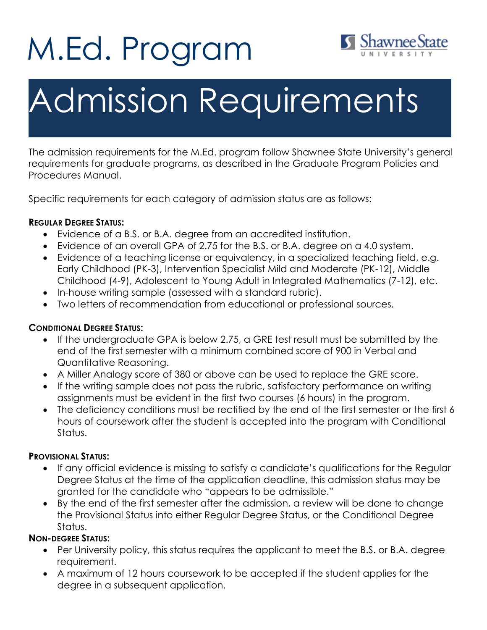# M.Ed. Program



# Admission Requirements

The admission requirements for the M.Ed. program follow Shawnee State University's general requirements for graduate programs, as described in the Graduate Program Policies and Procedures Manual.

Specific requirements for each category of admission status are as follows:

### **REGULAR DEGREE STATUS:**

- Evidence of a B.S. or B.A. degree from an accredited institution.
- Evidence of an overall GPA of 2.75 for the B.S. or B.A. degree on a 4.0 system.
- Evidence of a teaching license or equivalency, in a specialized teaching field, e.g. Early Childhood (PK-3), Intervention Specialist Mild and Moderate (PK-12), Middle Childhood (4-9), Adolescent to Young Adult in Integrated Mathematics (7-12), etc.
- In-house writing sample (assessed with a standard rubric).
- Two letters of recommendation from educational or professional sources.

# **CONDITIONAL DEGREE STATUS:**

- If the undergraduate GPA is below 2.75, a GRE test result must be submitted by the end of the first semester with a minimum combined score of 900 in Verbal and Quantitative Reasoning.
- A Miller Analogy score of 380 or above can be used to replace the GRE score.
- If the writing sample does not pass the rubric, satisfactory performance on writing assignments must be evident in the first two courses (6 hours) in the program.
- The deficiency conditions must be rectified by the end of the first semester or the first 6 hours of coursework after the student is accepted into the program with Conditional Status.

#### **PROVISIONAL STATUS:**

- If any official evidence is missing to satisfy a candidate's qualifications for the Regular Degree Status at the time of the application deadline, this admission status may be granted for the candidate who "appears to be admissible."
- By the end of the first semester after the admission, a review will be done to change the Provisional Status into either Regular Degree Status, or the Conditional Degree Status.

# **NON-DEGREE STATUS:**

- Per University policy, this status requires the applicant to meet the B.S. or B.A. degree requirement.
- A maximum of 12 hours coursework to be accepted if the student applies for the degree in a subsequent application.